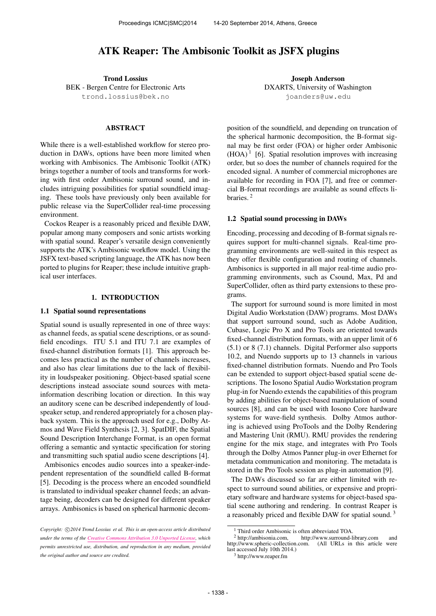# ATK Reaper: The Ambisonic Toolkit as JSFX plugins

Trond Lossius BEK - Bergen Centre for Electronic Arts [trond.lossius@bek.no](mailto:trond.lossius@bek.no)

### ABSTRACT

While there is a well-established workflow for stereo production in DAWs, options have been more limited when working with Ambisonics. The Ambisonic Toolkit (ATK) brings together a number of tools and transforms for working with first order Ambisonic surround sound, and includes intriguing possibilities for spatial soundfield imaging. These tools have previously only been available for public release via the SuperCollider real-time processing environment.

Cockos Reaper is a reasonably priced and flexible DAW, popular among many composers and sonic artists working with spatial sound. Reaper's versatile design conveniently supports the ATK's Ambisonic workflow model. Using the JSFX text-based scripting language, the ATK has now been ported to plugins for Reaper; these include intuitive graphical user interfaces.

#### 1. INTRODUCTION

#### 1.1 Spatial sound representations

Spatial sound is usually represented in one of three ways: as channel feeds, as spatial scene descriptions, or as soundfield encodings. ITU 5.1 and ITU 7.1 are examples of fixed-channel distribution formats [1]. This approach becomes less practical as the number of channels increases, and also has clear limitations due to the lack of flexibility in loudspeaker positioning. Object-based spatial scene descriptions instead associate sound sources with metainformation describing location or direction. In this way an auditory scene can be described independently of loudspeaker setup, and rendered appropriately for a chosen playback system. This is the approach used for e.g., Dolby Atmos and Wave Field Synthesis [2, 3]. SpatDIF, the Spatial Sound Description Interchange Format, is an open format offering a semantic and syntactic specification for storing and transmitting such spatial audio scene descriptions [4].

Ambisonics encodes audio sources into a speaker-independent representation of the soundfield called B-format [5]. Decoding is the process where an encoded soundfield is translated to individual speaker channel feeds; an advantage being, decoders can be designed for different speaker arrays. Ambisonics is based on spherical harmonic decom-

Joseph Anderson DXARTS, University of Washington <joanders@uw.edu>

position of the soundfield, and depending on truncation of the spherical harmonic decomposition, the B-format signal may be first order (FOA) or higher order Ambisonic  $(HOA)^1$  [6]. Spatial resolution improves with increasing order, but so does the number of channels required for the encoded signal. A number of commercial microphones are available for recording in FOA [7], and free or commercial B-format recordings are available as sound effects libraries. <sup>2</sup>

#### 1.2 Spatial sound processing in DAWs

Encoding, processing and decoding of B-format signals requires support for multi-channel signals. Real-time programming environments are well-suited in this respect as they offer flexible configuration and routing of channels. Ambisonics is supported in all major real-time audio programming environments, such as Csound, Max, Pd and SuperCollider, often as third party extensions to these programs.

The support for surround sound is more limited in most Digital Audio Workstation (DAW) programs. Most DAWs that support surround sound, such as Adobe Audition, Cubase, Logic Pro X and Pro Tools are oriented towards fixed-channel distribution formats, with an upper limit of 6 (5.1) or 8 (7.1) channels. Digital Performer also supports 10.2, and Nuendo supports up to 13 channels in various fixed-channel distribution formats. Nuendo and Pro Tools can be extended to support object-based spatial scene descriptions. The Iosono Spatial Audio Workstation program plug-in for Nuendo extends the capabilities of this program by adding abilities for object-based manipulation of sound sources [8], and can be used with Iosono Core hardware systems for wave-field synthesis. Dolby Atmos authoring is achieved using ProTools and the Dolby Rendering and Mastering Unit (RMU). RMU provides the rendering engine for the mix stage, and integrates with Pro Tools through the Dolby Atmos Panner plug-in over Ethernet for metadata communication and monitoring. The metadata is stored in the Pro Tools session as plug-in automation [9].

The DAWs discussed so far are either limited with respect to surround sound abilities, or expensive and proprietary software and hardware systems for object-based spatial scene authoring and rendering. In contrast Reaper is a reasonably priced and flexible DAW for spatial sound. <sup>3</sup>

Copyright:  $\bigcirc$ 2014 Trond Lossius et al. This is an open-access article distributed *under the terms of the [Creative Commons Attribution 3.0 Unported License,](http://creativecommons.org/licenses/by/3.0/) which permits unrestricted use, distribution, and reproduction in any medium, provided the original author and source are credited.*

<sup>&</sup>lt;sup>1</sup> Third order Ambisonic is often abbreviated TOA.<sup>2</sup> http://ambisonia.com, http://www.surround-

http://www.surround-library.com and<br>com. (All URLs in this article were [http://www.spheric-collection.com.](http://www.spheric-collection.com) last accessed July 10th 2014.)

<sup>3</sup> <http://www.reaper.fm>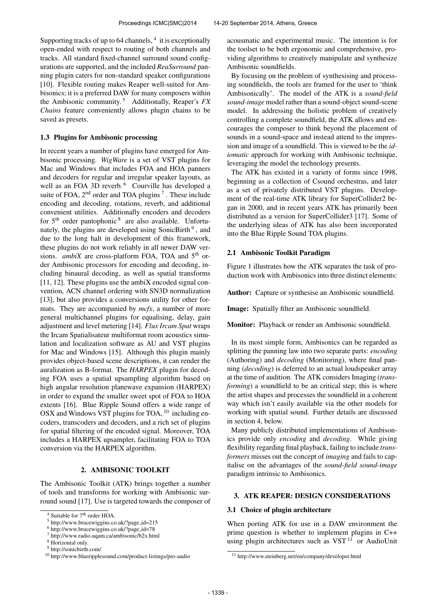Supporting tracks of up to 64 channels, <sup>4</sup> it is exceptionally open-ended with respect to routing of both channels and tracks. All standard fixed-channel surround sound configurations are supported, and the included *ReaSurround* panning plugin caters for non-standard speaker configurations [10]. Flexible routing makes Reaper well-suited for Ambisonics; it is a preferred DAW for many composers within the Ambisonic community. <sup>5</sup> Additionally, Reaper's *FX Chains* feature conveniently allows plugin chains to be saved as presets.

### 1.3 Plugins for Ambisonic processing

In recent years a number of plugins have emerged for Ambisonic processing. *WigWare* is a set of VST plugins for Mac and Windows that includes FOA and HOA panners and decoders for regular and irregular speaker layouts, as well as an FOA 3D reverb.<sup>6</sup> Courville has developed a suite of FOA,  $2<sup>nd</sup>$  order and TOA plugins<sup>7</sup>. These include encoding and decoding, rotations, reverb, and additional convenient utilities. Additionally encoders and decoders for 5<sup>th</sup> order pantophonic<sup>8</sup> are also available. Unfortunately, the plugins are developed using SonicBirth<sup>9</sup>, and due to the long halt in development of this framework, these plugins do not work reliably in all newer DAW versions. *ambiX* are cross-platform FOA, TOA and 5<sup>th</sup> order Ambisonic processors for encoding and decoding, including binaural decoding, as well as spatial transforms  $[11, 12]$ . These plugins use the ambiX encoded signal convention, ACN channel ordering with SN3D normalization [13], but also provides a conversions utility for other formats. They are accompanied by *mcfx*, a number of more general multichannel plugins for equalising, delay, gain adjustment and level metering [14]. *Flux Ircam Spat* wraps the Ircam Spatialisateur multiformat room acoustics simulation and localization software as AU and VST plugins for Mac and Windows [15]. Although this plugin mainly provides object-based scene descriptions, it can render the auralization as B-format. The *HARPEX* plugin for decoding FOA uses a spatial upsampling algorithm based on high angular resolution planewave expansion (HARPEX) in order to expand the smaller sweet spot of FOA to HOA extents [16]. Blue Ripple Sound offers a wide range of OSX and Windows VST plugins for TOA, <sup>10</sup> including encoders, transcoders and decoders, and a rich set of plugins for spatial filtering of the encoded signal. Moreover, TOA includes a HARPEX upsampler, facilitating FOA to TOA conversion via the HARPEX algorithm.

# 2. AMBISONIC TOOLKIT

The Ambisonic Toolkit (ATK) brings together a number of tools and transforms for working with Ambisonic surround sound [17]. Use is targeted towards the composer of acousmatic and experimental music. The intention is for the toolset to be both ergonomic and comprehensive, providing algorithms to creatively manipulate and synthesize Ambisonic soundfields.

By focusing on the problem of synthesising and processing soundfields, the tools are framed for the user to 'think Ambisonically'. The model of the ATK is a *sound-field sound-image* model rather than a sound-object sound-scene model. In addressing the holistic problem of creatively controlling a complete soundfield, the ATK allows and encourages the composer to think beyond the placement of sounds in a sound-space and instead attend to the impression and image of a soundfield. This is viewed to be the *idiomatic* approach for working with Ambisonic technique, leveraging the model the technology presents.

The ATK has existed in a variety of forms since 1998, beginning as a collection of Csound orchestras, and later as a set of privately distributed VST plugins. Development of the real-time ATK library for SuperCollider2 began in 2000, and in recent years ATK has primarily been distributed as a version for SuperCollider3 [17]. Some of the underlying ideas of ATK has also been incorporated into the Blue Ripple Sound TOA plugins.

## 2.1 Ambisonic Toolkit Paradigm

Figure 1 illustrates how the ATK separates the task of production work with Ambisonics into three distinct elements:

Author: Capture or synthesise an Ambisonic soundfield.

Image: Spatially filter an Ambisonic soundfield.

Monitor: Playback or render an Ambisonic soundfield.

In its most simple form, Ambisonics can be regarded as splitting the panning law into two separate parts: *encoding* (Authoring) and *decoding* (Monitoring), where final panning (*decoding*) is deferred to an actual loudspeaker array at the time of audition. The ATK considers Imaging (*transforming*) a soundfield to be an critical step; this is where the artist shapes and processes the soundfield in a coherent way which isn't easily available via the other models for working with spatial sound. Further details are discussed in section 4, below.

Many publicly distributed implementations of Ambisonics provide only *encoding* and *decoding*. While giving flexibility regarding final playback, failing to include *transformers* misses out the concept of *imaging* and fails to capitalise on the advantages of the *sound-field sound-image* paradigm intrinsic to Ambisonics.

### 3. ATK REAPER: DESIGN CONSIDERATIONS

### 3.1 Choice of plugin architecture

When porting ATK for use in a DAW environment the prime question is whether to implement plugins in C++ using plugin architectures such as  $VST$ <sup>11</sup> or AudioUnit

<sup>&</sup>lt;sup>4</sup> Suitable for 7<sup>th</sup> order HOA.

<sup>5</sup> [http://www.brucewiggins.co.uk/?page](http://www.brucewiggins.co.uk/?page_id=215) id=215

<sup>6</sup> [http://www.brucewiggins.co.uk/?page](http://www.brucewiggins.co.uk/?page_id=78) id=78

<sup>7</sup> <http://www.radio.uqam.ca/ambisonic/b2x.html>

<sup>8</sup> Horizontal only.

<sup>9</sup> <http://sonicbirth.com/>

<sup>10</sup> <http://www.blueripplesound.com/product-listings/pro-audio>

<sup>11</sup> <http://www.steinberg.net/en/company/developer.html>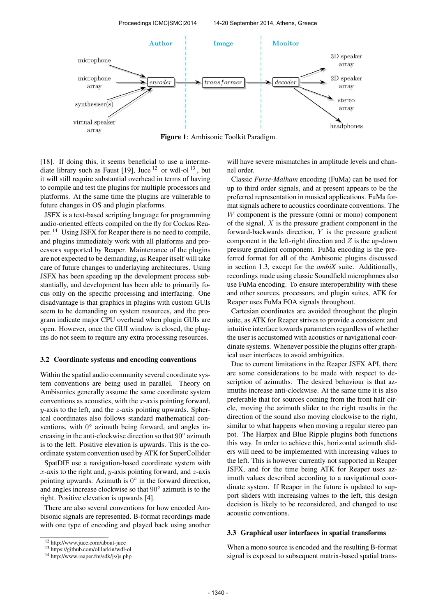

Figure 1: Ambisonic Toolkit Paradigm.

[18]. If doing this, it seems beneficial to use a intermediate library such as Faust [19], Juce  $12$  or wdl-ol  $13$ , but it will still require substantial overhead in terms of having to compile and test the plugins for multiple processors and platforms. At the same time the plugins are vulnerable to future changes in OS and plugin platforms.

JSFX is a text-based scripting language for programming audio-oriented effects compiled on the fly for Cockos Reaper. <sup>14</sup> Using JSFX for Reaper there is no need to compile, and plugins immediately work with all platforms and processors supported by Reaper. Maintenance of the plugins are not expected to be demanding, as Reaper itself will take care of future changes to underlaying architectures. Using JSFX has been speeding up the development process substantially, and development has been able to primarily focus only on the specific processing and interfacing. One disadvantage is that graphics in plugins with custom GUIs seem to be demanding on system resources, and the program indicate major CPU overhead when plugin GUIs are open. However, once the GUI window is closed, the plugins do not seem to require any extra processing resources.

#### 3.2 Coordinate systems and encoding conventions

Within the spatial audio community several coordinate system conventions are being used in parallel. Theory on Ambisonics generally assume the same coordinate system conventions as acoustics, with the  $x$ -axis pointing forward,  $y$ -axis to the left, and the  $z$ -axis pointing upwards. Spherical coordinates also follows standard mathematical conventions, with 0° azimuth being forward, and angles increasing in the anti-clockwise direction so that 90◦ azimuth is to the left. Positive elevation is upwards. This is the coordinate system convention used by ATK for SuperCollider

SpatDIF use a navigation-based coordinate system with x-axis to the right and, y-axis pointing forward, and z-axis pointing upwards. Azimuth is  $0^{\circ}$  in the forward direction, and angles increase clockwise so that 90◦ azimuth is to the right. Positive elevation is upwards [4].

There are also several conventions for how encoded Ambisonic signals are represented. B-format recordings made with one type of encoding and played back using another will have severe mismatches in amplitude levels and channel order.

Classic *Furse-Malham* encoding (FuMa) can be used for up to third order signals, and at present appears to be the preferred representation in musical applications. FuMa format signals adhere to acoustics coordinate conventions. The W component is the pressure (omni or mono) component of the signal,  $X$  is the pressure gradient component in the forward-backwards direction,  $Y$  is the pressure gradient component in the left-right direction and  $Z$  is the up-down pressure gradient component. FuMa encoding is the preferred format for all of the Ambisonic plugins discussed in section 1.3, except for the *ambiX* suite. Additionally, recordings made using classic Soundfield microphones also use FuMa encoding. To ensure interoperability with these and other sources, processors, and plugin suites, ATK for Reaper uses FuMa FOA signals throughout.

Cartesian coordinates are avoided throughout the plugin suite, as ATK for Reaper strives to provide a consistent and intuitive interface towards parameters regardless of whether the user is accustomed with acoustics or navigational coordinate systems. Whenever possible the plugins offer graphical user interfaces to avoid ambiguities.

Due to current limitations in the Reaper JSFX API, there are some considerations to be made with respect to description of azimuths. The desired behaviour is that azimuths increase anti-clockwise. At the same time it is also preferable that for sources coming from the front half circle, moving the azimuth slider to the right results in the direction of the sound also moving clockwise to the right, similar to what happens when moving a regular stereo pan pot. The Harpex and Blue Ripple plugins both functions this way. In order to achieve this, horizontal azimuth sliders will need to be implemented with increasing values to the left. This is however currently not supported in Reaper JSFX, and for the time being ATK for Reaper uses azimuth values described according to a navigational coordinate system. If Reaper in the future is updated to support sliders with increasing values to the left, this design decision is likely to be reconsidered, and changed to use acoustic conventions.

#### 3.3 Graphical user interfaces in spatial transforms

When a mono source is encoded and the resulting B-format signal is exposed to subsequent matrix-based spatial trans-

<sup>12</sup> <http://www.juce.com/about-juce>

<sup>13</sup> <https://github.com/olilarkin/wdl-ol>

<sup>14</sup> <http://www.reaper.fm/sdk/js/js.php>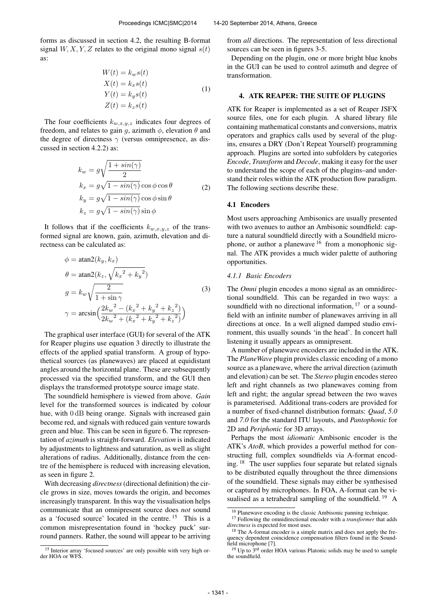forms as discussed in section 4.2, the resulting B-format signal  $W, X, Y, Z$  relates to the original mono signal  $s(t)$ as:

$$
W(t) = k_w s(t)
$$
  
\n
$$
X(t) = k_x s(t)
$$
  
\n
$$
Y(t) = k_y s(t)
$$
  
\n
$$
Z(t) = k_z s(t)
$$
\n(1)

The four coefficients  $k_{w,x,y,z}$  indicates four degrees of freedom, and relates to gain g, azimuth  $\phi$ , elevation  $\theta$  and the degree of directness  $\gamma$  (versus omnipresence, as discussed in section 4.2.2) as:

$$
k_w = g \sqrt{\frac{1 + \sin(\gamma)}{2}}
$$
  
\n
$$
k_x = g \sqrt{1 - \sin(\gamma)} \cos \phi \cos \theta
$$
  
\n
$$
k_y = g \sqrt{1 - \sin(\gamma)} \cos \phi \sin \theta
$$
  
\n
$$
k_z = g \sqrt{1 - \sin(\gamma)} \sin \phi
$$
  
\n(2)

It follows that if the coefficients  $k_{w,x,y,z}$  of the transformed signal are known, gain, azimuth, elevation and directness can be calculated as:

$$
\phi = \operatorname{atan2}(k_y, k_x)
$$
  
\n
$$
\theta = \operatorname{atan2}(k_z, \sqrt{k_x^2 + k_y^2})
$$
  
\n
$$
g = k_w \sqrt{\frac{2}{1 + \sin \gamma}}
$$
  
\n
$$
\gamma = \arcsin\left(\frac{2k_w^2 - (k_x^2 + k_y^2 + k_z^2)}{2k_w^2 + (k_x^2 + k_y^2 + k_z^2)}\right)
$$
\n(3)

The graphical user interface (GUI) for several of the ATK for Reaper plugins use equation 3 directly to illustrate the effects of the applied spatial transform. A group of hypothetical sources (as planewaves) are placed at equidistant angles around the horizontal plane. These are subsequently processed via the specified transform, and the GUI then displays the transformed prototype source image state.

The soundfield hemisphere is viewed from above. *Gain* level for the transformed sources is indicated by colour hue, with  $0 dB$  being orange. Signals with increased gain become red, and signals with reduced gain venture towards green and blue. This can be seen in figure 6. The representation of *azimuth* is straight-forward. *Elevation* is indicated by adjustments to lightness and saturation, as well as slight alterations of radius. Additionally, distance from the centre of the hemisphere is reduced with increasing elevation, as seen in figure 2.

With decreasing *directness*(directional definition) the circle grows in size, moves towards the origin, and becomes increasingly transparent. In this way the visualisation helps communicate that an omnipresent source does *not* sound as a 'focused source' located in the centre. <sup>15</sup> This is a common misrepresentation found in 'hockey puck' surround panners. Rather, the sound will appear to be arriving from *all* directions. The representation of less directional sources can be seen in figures 3-5.

Depending on the plugin, one or more bright blue knobs in the GUI can be used to control azimuth and degree of transformation.

### 4. ATK REAPER: THE SUITE OF PLUGINS

ATK for Reaper is implemented as a set of Reaper JSFX source files, one for each plugin. A shared library file containing mathematical constants and conversions, matrix operators and graphics calls used by several of the plugins, ensures a DRY (Don't Repeat Yourself) programming approach. Plugins are sorted into subfolders by categories *Encode*, *Transform* and *Decode*, making it easy for the user to understand the scope of each of the plugins–and understand their roles within the ATK production flow paradigm. The following sections describe these.

### 4.1 Encoders

Most users approaching Ambisonics are usually presented with two avenues to author an Ambisonic soundfield: capture a natural soundfield directly with a Soundfield microphone, or author a planewave  $16$  from a monophonic signal. The ATK provides a much wider palette of authoring opportunities.

## *4.1.1 Basic Encoders*

The *Omni* plugin encodes a mono signal as an omnidirectional soundfield. This can be regarded in two ways: a soundfield with no directional information,  $17$  or a soundfield with an infinite number of planewaves arriving in all directions at once. In a well aligned damped studio environment, this usually sounds 'in the head'. In concert hall listening it usually appears as omnipresent.

A number of planewave encoders are included in the ATK. The *PlaneWave* plugin provides classic encoding of a mono source as a planewave, where the arrival direction (azimuth and elevation) can be set. The *Stereo* plugin encodes stereo left and right channels as two planewaves coming from left and right; the angular spread between the two waves is parameterised. Additional trans-coders are provided for a number of fixed-channel distribution formats: *Quad*, *5.0* and *7.0* for the standard ITU layouts, and *Pantophonic* for 2D and *Periphonic* for 3D arrays.

Perhaps the most *idiomatic* Ambisonic encoder is the ATK's *AtoB*, which provides a powerful method for constructing full, complex soundfields via A-format encoding. <sup>18</sup> The user supplies four separate but related signals to be distributed equally throughout the three dimensions of the soundfield. These signals may either be synthesised or captured by microphones. In FOA, A-format can be visualised as a tetrahedral sampling of the soundfield.  $^{19}$  A

<sup>15</sup> Interior array 'focused sources' are only possible with very high order HOA or WFS.

<sup>16</sup> Planewave encoding is the classic Ambisonic panning technique. <sup>17</sup> Following the omnidirectional encoder with a *transformer* that adds

*directness* is expected for most uses. <sup>18</sup> The A-format encoder is a simple matrix and does not apply the frequency dependent coincidence compensation filters found in the Soundfield microphone [7].

 $19$  Up to  $3<sup>rd</sup>$  order HOA various Platonic solids may be used to sample the soundfield.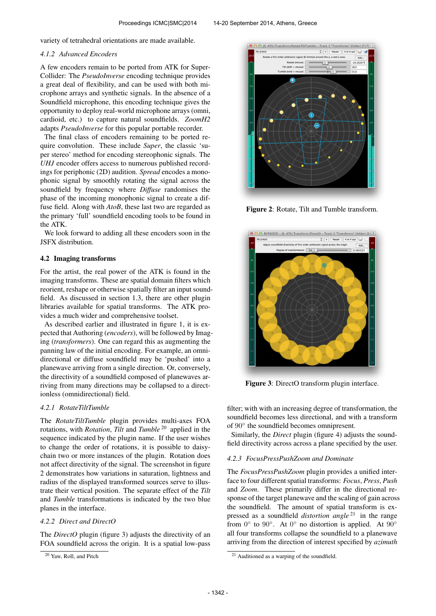variety of tetrahedral orientations are made available.

### *4.1.2 Advanced Encoders*

A few encoders remain to be ported from ATK for Super-Collider: The *PseudoInverse* encoding technique provides a great deal of flexibility, and can be used with both microphone arrays and synthetic signals. In the absence of a Soundfield microphone, this encoding technique gives the opportunity to deploy real-world microphone arrays (omni, cardioid, etc.) to capture natural soundfields. *ZoomH2* adapts *PseudoInverse* for this popular portable recorder.

The final class of encoders remaining to be ported require convolution. These include *Super*, the classic 'super stereo' method for encoding stereophonic signals. The *UHJ* encoder offers access to numerous published recordings for periphonic (2D) audition. *Spread* encodes a monophonic signal by smoothly rotating the signal across the soundfield by frequency where *Diffuse* randomises the phase of the incoming monophonic signal to create a diffuse field. Along with *AtoB*, these last two are regarded as the primary 'full' soundfield encoding tools to be found in the ATK.

We look forward to adding all these encoders soon in the JSFX distribution.

### 4.2 Imaging transforms

For the artist, the real power of the ATK is found in the imaging transforms. These are spatial domain filters which reorient, reshape or otherwise spatially filter an input soundfield. As discussed in section 1.3, there are other plugin libraries available for spatial transforms. The ATK provides a much wider and comprehensive toolset.

As described earlier and illustrated in figure 1, it is expected that Authoring (*encoders*), will be followed by Imaging (*transformers*). One can regard this as augmenting the panning law of the initial encoding. For example, an omnidirectional or diffuse soundfield may be 'pushed' into a planewave arriving from a single direction. Or, conversely, the directivity of a soundfield composed of planewaves arriving from many directions may be collapsed to a directionless (omnidirectional) field.

# *4.2.1 RotateTiltTumble*

The *RotateTiltTumble* plugin provides multi-axes FOA rotations, with *Rotation*, *Tilt* and *Tumble* <sup>20</sup> applied in the sequence indicated by the plugin name. If the user wishes to change the order of rotations, it is possible to daisychain two or more instances of the plugin. Rotation does not affect directivity of the signal. The screenshot in figure 2 demonstrates how variations in saturation, lightness and radius of the displayed transformed sources serve to illustrate their vertical position. The separate effect of the *Tilt* and *Tumble* transformations is indicated by the two blue planes in the interface.

### *4.2.2 Direct and DirectO*

The *DirectO* plugin (figure 3) adjusts the directivity of an FOA soundfield across the origin. It is a spatial low-pass



Figure 2: Rotate, Tilt and Tumble transform.



Figure 3: DirectO transform plugin interface.

filter; with with an increasing degree of transformation, the soundfield becomes less directional, and with a transform of 90° the soundfield becomes omnipresent.

Similarly, the *Direct* plugin (figure 4) adjusts the soundfield directivity across across a plane specified by the user.

### *4.2.3 FocusPressPushZoom and Dominate*

The *FocusPressPushZoom* plugin provides a unified interface to four different spatial transforms: *Focus*, *Press*, *Push* and *Zoom*. These primarily differ in the directional response of the target planewave and the scaling of gain across the soundfield. The amount of spatial transform is expressed as a soundfield *distortion angle* <sup>21</sup> in the range from  $0^\circ$  to  $90^\circ$ . At  $0^\circ$  no distortion is applied. At  $90^\circ$ all four transforms collapse the soundfield to a planewave arriving from the direction of interest specified by *azimuth*

<sup>20</sup> Yaw, Roll, and Pitch

<sup>&</sup>lt;sup>21</sup> Auditioned as a warping of the soundfield.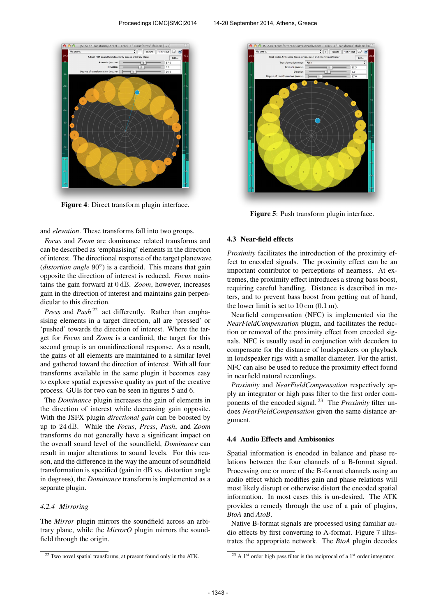

Figure 4: Direct transform plugin interface.

and *elevation*. These transforms fall into two groups.

*Focus* and *Zoom* are dominance related transforms and can be described as 'emphasising' elements in the direction of interest. The directional response of the target planewave (*distortion angle* 90°) is a cardioid. This means that gain opposite the direction of interest is reduced. *Focus* maintains the gain forward at 0 dB. *Zoom*, however, increases gain in the direction of interest and maintains gain perpendicular to this direction.

*Press* and *Push*<sup>22</sup> act differently. Rather than emphasising elements in a target direction, all are 'pressed' or 'pushed' towards the direction of interest. Where the target for *Focus* and *Zoom* is a cardioid, the target for this second group is an omnidirectional response. As a result, the gains of all elements are maintained to a similar level and gathered toward the direction of interest. With all four transforms available in the same plugin it becomes easy to explore spatial expressive quality as part of the creative process. GUIs for two can be seen in figures 5 and 6.

The *Dominance* plugin increases the gain of elements in the direction of interest while decreasing gain opposite. With the JSFX plugin *directional gain* can be boosted by up to 24 dB. While the *Focus*, *Press*, *Push*, and *Zoom* transforms do not generally have a significant impact on the overall sound level of the soundfield, *Dominance* can result in major alterations to sound levels. For this reason, and the difference in the way the amount of soundfield transformation is specified (gain in dB vs. distortion angle in degrees), the *Dominance* transform is implemented as a separate plugin.

### *4.2.4 Mirroring*

The *Mirror* plugin mirrors the soundfield across an arbitrary plane, while the *MirrorO* plugin mirrors the soundfield through the origin.



Figure 5: Push transform plugin interface.

## 4.3 Near-field effects

*Proximity* facilitates the introduction of the proximity effect to encoded signals. The proximity effect can be an important contributor to perceptions of nearness. At extremes, the proximity effect introduces a strong bass boost, requiring careful handling. Distance is described in meters, and to prevent bass boost from getting out of hand, the lower limit is set to  $10 \text{ cm } (0.1 \text{ m})$ .

Nearfield compensation (NFC) is implemented via the *NearFieldCompensation* plugin, and facilitates the reduction or removal of the proximity effect from encoded signals. NFC is usually used in conjunction with decoders to compensate for the distance of loudspeakers on playback in loudspeaker rigs with a smaller diameter. For the artist, NFC can also be used to reduce the proximity effect found in nearfield natural recordings.

*Proximity* and *NearFieldCompensation* respectively apply an integrator or high pass filter to the first order components of the encoded signal. <sup>23</sup> The *Proximity* filter undoes *NearFieldCompensation* given the same distance argument.

### 4.4 Audio Effects and Ambisonics

Spatial information is encoded in balance and phase relations between the four channels of a B-format signal. Processing one or more of the B-format channels using an audio effect which modifies gain and phase relations will most likely disrupt or otherwise distort the encoded spatial information. In most cases this is un-desired. The ATK provides a remedy through the use of a pair of plugins, *BtoA* and *AtoB*.

Native B-format signals are processed using familiar audio effects by first converting to A-format. Figure 7 illustrates the appropriate network. The *BtoA* plugin decodes

<sup>22</sup> Two novel spatial transforms, at present found only in the ATK.

 $^{23}$  A 1<sup>st</sup> order high pass filter is the reciprocal of a 1<sup>st</sup> order integrator.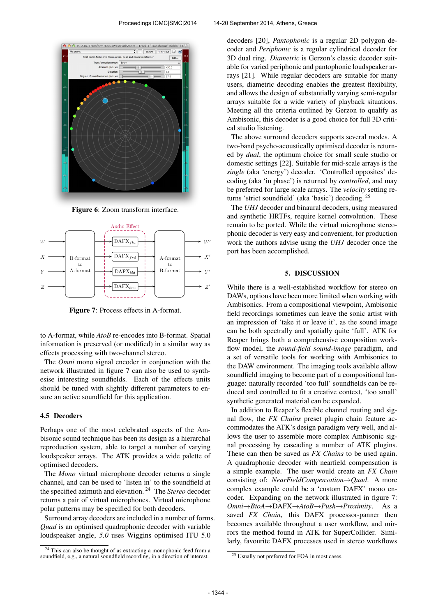

Figure 6: Zoom transform interface.



Figure 7: Process effects in A-format.

to A-format, while *AtoB* re-encodes into B-format. Spatial information is preserved (or modified) in a similar way as effects processing with two-channel stereo.

The *Omni* mono signal encoder in conjunction with the network illustrated in figure 7 can also be used to synthesise interesting soundfields. Each of the effects units should be tuned with slightly different parameters to ensure an active soundfield for this application.

#### 4.5 Decoders

Perhaps one of the most celebrated aspects of the Ambisonic sound technique has been its design as a hierarchal reproduction system, able to target a number of varying loudspeaker arrays. The ATK provides a wide palette of optimised decoders.

The *Mono* virtual microphone decoder returns a single channel, and can be used to 'listen in' to the soundfield at the specified azimuth and elevation. <sup>24</sup> The *Stereo* decoder returns a pair of virtual microphones. Virtual microphone polar patterns may be specified for both decoders.

Surround array decoders are included in a number of forms. *Quad* is an optimised quadraphonic decoder with variable loudspeaker angle, *5.0* uses Wiggins optimised ITU 5.0

decoders [20], *Pantophonic* is a regular 2D polygon decoder and *Periphonic* is a regular cylindrical decoder for 3D dual ring. *Diametric* is Gerzon's classic decoder suitable for varied periphonic and pantophonic loudspeaker arrays [21]. While regular decoders are suitable for many users, diametric decoding enables the greatest flexibility, and allows the design of substantially varying semi-regular arrays suitable for a wide variety of playback situations. Meeting all the criteria outlined by Gerzon to qualify as Ambisonic, this decoder is a good choice for full 3D critical studio listening.

The above surround decoders supports several modes. A two-band psycho-acoustically optimised decoder is returned by *dual*, the optimum choice for small scale studio or domestic settings [22]. Suitable for mid-scale arrays is the *single* (aka 'energy') decoder. 'Controlled opposites' decoding (aka 'in phase') is returned by *controlled*, and may be preferred for large scale arrays. The *velocity* setting returns 'strict soundfield' (aka 'basic') decoding. <sup>25</sup>

The *UHJ* decoder and binaural decoders, using measured and synthetic HRTFs, require kernel convolution. These remain to be ported. While the virtual microphone stereophonic decoder is very easy and convenient, for production work the authors advise using the *UHJ* decoder once the port has been accomplished.

### 5. DISCUSSION

While there is a well-established workflow for stereo on DAWs, options have been more limited when working with Ambisonics. From a compositional viewpoint, Ambisonic field recordings sometimes can leave the sonic artist with an impression of 'take it or leave it', as the sound image can be both spectrally and spatially quite 'full'. ATK for Reaper brings both a comprehensive composition workflow model, the *sound-field sound-image* paradigm, and a set of versatile tools for working with Ambisonics to the DAW environment. The imaging tools available allow soundfield imaging to become part of a compositional language: naturally recorded 'too full' soundfields can be reduced and controlled to fit a creative context, 'too small' synthetic generated material can be expanded.

In addition to Reaper's flexible channel routing and signal flow, the *FX Chains* preset plugin chain feature accommodates the ATK's design paradigm very well, and allows the user to assemble more complex Ambisonic signal processing by cascading a number of ATK plugins. These can then be saved as *FX Chains* to be used again. A quadraphonic decoder with nearfield compensation is a simple example. The user would create an *FX Chain* consisting of: *NearFieldCompensation*→*Quad*. A more complex example could be a 'custom DAFX' mono encoder. Expanding on the network illustrated in figure 7: *Omni*→*BtoA*→DAFX→*AtoB*→*Push*→*Proximity*. As a saved *FX Chain*, this DAFX processor-panner then becomes available throughout a user workflow, and mirrors the method found in ATK for SuperCollider. Similarly, favourite DAFX processes used in stereo workflows

<sup>&</sup>lt;sup>24</sup> This can also be thought of as extracting a monophonic feed from a soundfield, e.g., a natural soundfield recording, in a direction of interest.

<sup>&</sup>lt;sup>25</sup> Usually not preferred for FOA in most cases.